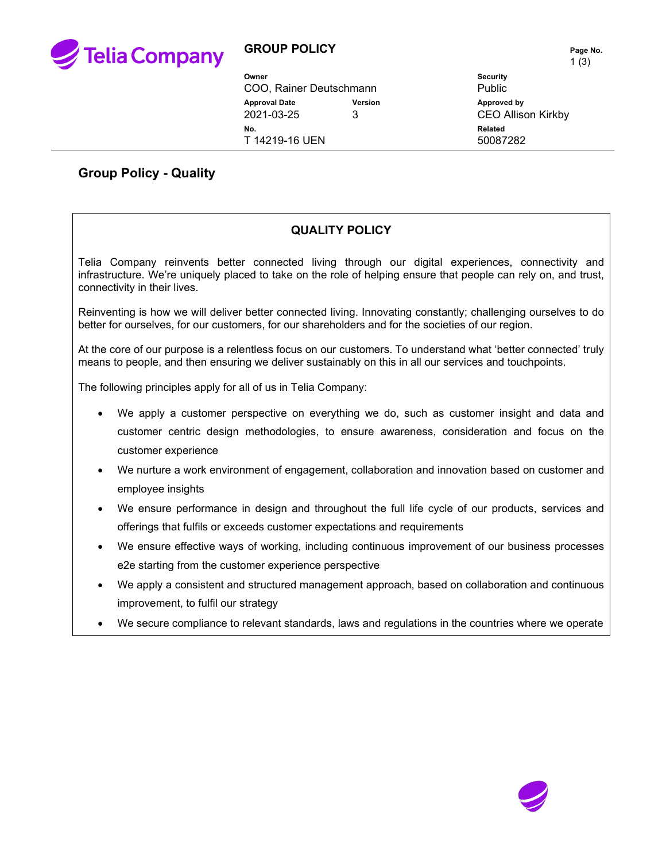

## **GROUP POLICY** PAGE NO.

 $1(3)$ 

| Owner<br>COO, Rainer Deutschmann   |         | $\cdot$ $\cdot$ $\cdot$<br><b>Security</b><br><b>Public</b> |
|------------------------------------|---------|-------------------------------------------------------------|
| <b>Approval Date</b><br>2021-03-25 | Version | Approved by<br><b>CEO Allison Kirkby</b>                    |
| No.<br>T 14219-16 UEN              |         | Related<br>50087282                                         |

## **Group Policy - Quality**

## **QUALITY POLICY**

Telia Company reinvents better connected living through our digital experiences, connectivity and infrastructure. We're uniquely placed to take on the role of helping ensure that people can rely on, and trust, connectivity in their lives.

Reinventing is how we will deliver better connected living. Innovating constantly; challenging ourselves to do better for ourselves, for our customers, for our shareholders and for the societies of our region.

At the core of our purpose is a relentless focus on our customers. To understand what 'better connected' truly means to people, and then ensuring we deliver sustainably on this in all our services and touchpoints.

The following principles apply for all of us in Telia Company:

- We apply a customer perspective on everything we do, such as customer insight and data and customer centric design methodologies, to ensure awareness, consideration and focus on the customer experience
- We nurture a work environment of engagement, collaboration and innovation based on customer and employee insights
- We ensure performance in design and throughout the full life cycle of our products, services and offerings that fulfils or exceeds customer expectations and requirements
- We ensure effective ways of working, including continuous improvement of our business processes e2e starting from the customer experience perspective
- We apply a consistent and structured management approach, based on collaboration and continuous improvement, to fulfil our strategy
- We secure compliance to relevant standards, laws and regulations in the countries where we operate

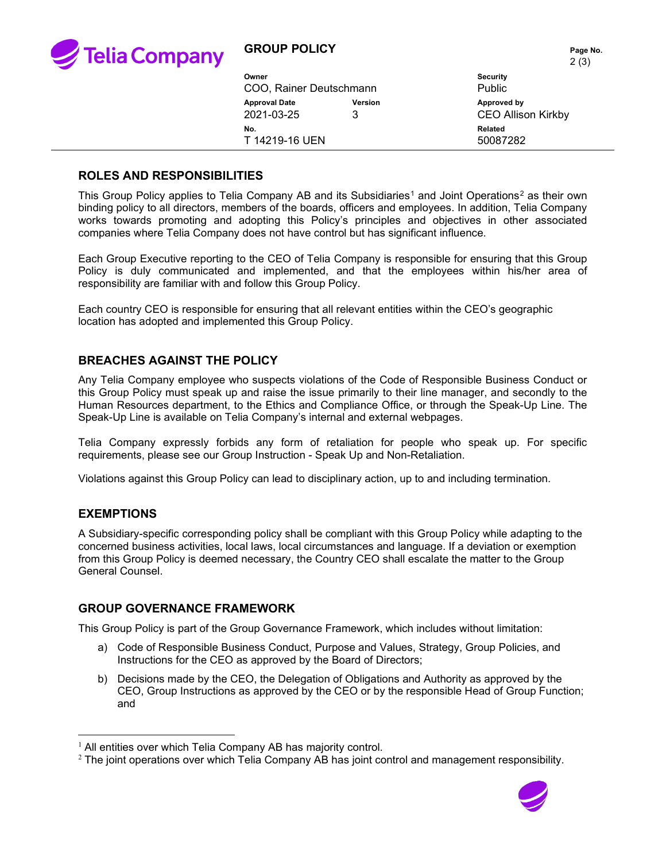

|                         |         | $\sim$ 197                |
|-------------------------|---------|---------------------------|
| Owner                   |         | <b>Security</b>           |
| COO, Rainer Deutschmann |         | <b>Public</b>             |
| <b>Approval Date</b>    | Version | Approved by               |
| 2021-03-25              | 3       | <b>CEO Allison Kirkby</b> |
| No.                     |         | Related                   |
| T 14219-16 UEN          |         | 50087282                  |
|                         |         |                           |

#### **ROLES AND RESPONSIBILITIES**

This Group Policy applies to Telia Company AB and its Subsidiaries<sup>[1](#page-1-0)</sup> and Joint Operations<sup>[2](#page-1-1)</sup> as their own binding policy to all directors, members of the boards, officers and employees. In addition, Telia Company works towards promoting and adopting this Policy's principles and objectives in other associated companies where Telia Company does not have control but has significant influence.

Each Group Executive reporting to the CEO of Telia Company is responsible for ensuring that this Group Policy is duly communicated and implemented, and that the employees within his/her area of responsibility are familiar with and follow this Group Policy.

Each country CEO is responsible for ensuring that all relevant entities within the CEO's geographic location has adopted and implemented this Group Policy.

### **BREACHES AGAINST THE POLICY**

Any Telia Company employee who suspects violations of the Code of Responsible Business Conduct or this Group Policy must speak up and raise the issue primarily to their line manager, and secondly to the Human Resources department, to the Ethics and Compliance Office, or through the Speak-Up Line. The Speak-Up Line is available on Telia Company's internal and external webpages.

Telia Company expressly forbids any form of retaliation for people who speak up. For specific requirements, please see our Group Instruction - Speak Up and Non-Retaliation.

Violations against this Group Policy can lead to disciplinary action, up to and including termination.

### **EXEMPTIONS**

A Subsidiary-specific corresponding policy shall be compliant with this Group Policy while adapting to the concerned business activities, local laws, local circumstances and language. If a deviation or exemption from this Group Policy is deemed necessary, the Country CEO shall escalate the matter to the Group General Counsel.

#### **GROUP GOVERNANCE FRAMEWORK**

This Group Policy is part of the Group Governance Framework, which includes without limitation:

- a) Code of Responsible Business Conduct, Purpose and Values, Strategy, Group Policies, and Instructions for the CEO as approved by the Board of Directors;
- b) Decisions made by the CEO, the Delegation of Obligations and Authority as approved by the CEO, Group Instructions as approved by the CEO or by the responsible Head of Group Function; and

<span id="page-1-1"></span> $2$  The joint operations over which Telia Company AB has joint control and management responsibility.



<span id="page-1-0"></span><sup>&</sup>lt;sup>1</sup> All entities over which Telia Company AB has majority control.